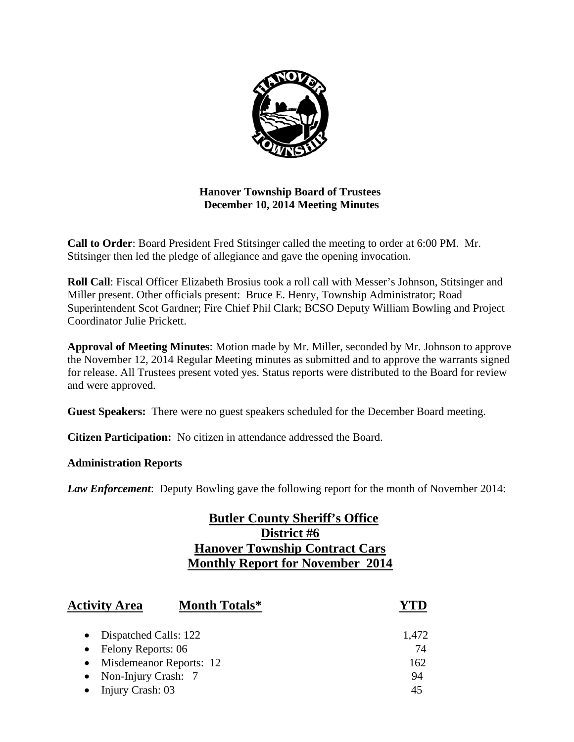

## **Hanover Township Board of Trustees December 10, 2014 Meeting Minutes**

**Call to Order**: Board President Fred Stitsinger called the meeting to order at 6:00 PM. Mr. Stitsinger then led the pledge of allegiance and gave the opening invocation.

**Roll Call**: Fiscal Officer Elizabeth Brosius took a roll call with Messer's Johnson, Stitsinger and Miller present. Other officials present: Bruce E. Henry, Township Administrator; Road Superintendent Scot Gardner; Fire Chief Phil Clark; BCSO Deputy William Bowling and Project Coordinator Julie Prickett.

**Approval of Meeting Minutes**: Motion made by Mr. Miller, seconded by Mr. Johnson to approve the November 12, 2014 Regular Meeting minutes as submitted and to approve the warrants signed for release. All Trustees present voted yes. Status reports were distributed to the Board for review and were approved.

**Guest Speakers:** There were no guest speakers scheduled for the December Board meeting.

**Citizen Participation:** No citizen in attendance addressed the Board.

#### **Administration Reports**

*Law Enforcement*: Deputy Bowling gave the following report for the month of November 2014:

# **Butler County Sheriff's Office District #6 Hanover Township Contract Cars Monthly Report for November 2014**

| <b>Activity Area</b>               | <b>Month Totals*</b>    |       |
|------------------------------------|-------------------------|-------|
| Dispatched Calls: 122<br>$\bullet$ |                         | 1,472 |
| • Felony Reports: $06$             |                         | 74    |
| $\bullet$                          | Misdemeanor Reports: 12 | 162   |
| • Non-Injury Crash: $7$            |                         | 94    |
| Injury Crash: 03                   |                         | 45    |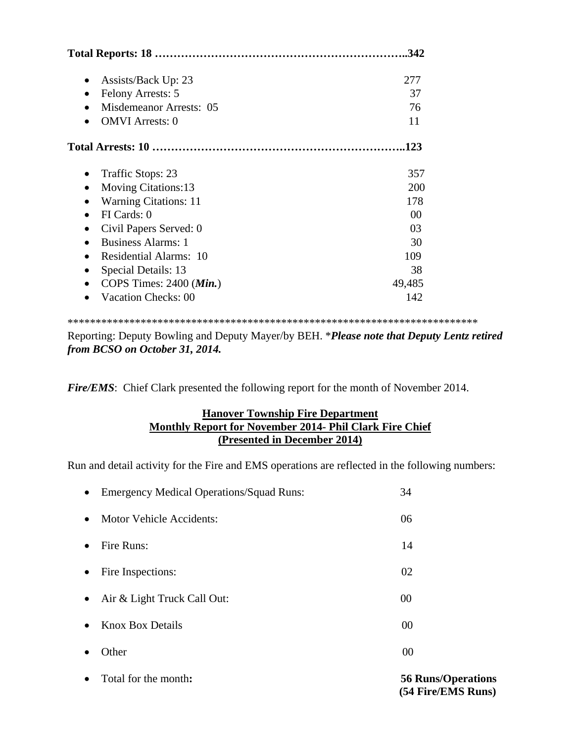|                                                 | .342   |
|-------------------------------------------------|--------|
| Assists/Back Up: 23<br>$\bullet$                | 277    |
| Felony Arrests: 5                               | 37     |
| Misdemeanor Arrests: 05                         | 76     |
| <b>OMVI</b> Arrests: 0                          | 11     |
|                                                 | .123   |
| Traffic Stops: 23<br>٠                          | 357    |
| <b>Moving Citations:13</b>                      | 200    |
| <b>Warning Citations: 11</b>                    | 178    |
| FI Cards: 0<br>$\bullet$                        | 00     |
| Civil Papers Served: 0<br>$\bullet$             | 03     |
| <b>Business Alarms: 1</b><br>$\bullet$          | 30     |
| <b>Residential Alarms: 10</b><br>$\bullet$      | 109    |
| Special Details: 13<br>$\bullet$                | 38     |
| COPS Times: $2400$ ( <i>Min.</i> )<br>$\bullet$ | 49,485 |
| <b>Vacation Checks: 00</b>                      | 142    |

\*\*\*\*\*\*\*\*\*\*\*\*\*\*\*\*\*\*\*\*\*\*\*\*\*\*\*\*\*\*\*\*\*\*\*\*\*\*\*\*\*\*\*\*\*\*\*\*\*\*\*\*\*\*\*\*\*\*\*\*\*\*\*\*\*\*\*\*\*\*\*\*\*

Reporting: Deputy Bowling and Deputy Mayer/by BEH. \**Please note that Deputy Lentz retired from BCSO on October 31, 2014.* 

*Fire/EMS*: Chief Clark presented the following report for the month of November 2014.

## **Hanover Township Fire Department Monthly Report for November 2014- Phil Clark Fire Chief (Presented in December 2014)**

Run and detail activity for the Fire and EMS operations are reflected in the following numbers:

|           | • Total for the month:                     | <b>56 Runs/Operations</b> |
|-----------|--------------------------------------------|---------------------------|
| $\bullet$ | Other                                      | 00                        |
| $\bullet$ | <b>Knox Box Details</b>                    | 00                        |
|           | • Air & Light Truck Call Out:              | 00                        |
| $\bullet$ | Fire Inspections:                          | 02                        |
| $\bullet$ | Fire Runs:                                 | 14                        |
| $\bullet$ | Motor Vehicle Accidents:                   | 06                        |
|           | • Emergency Medical Operations/Squad Runs: | 34                        |

 **(54 Fire/EMS Runs)**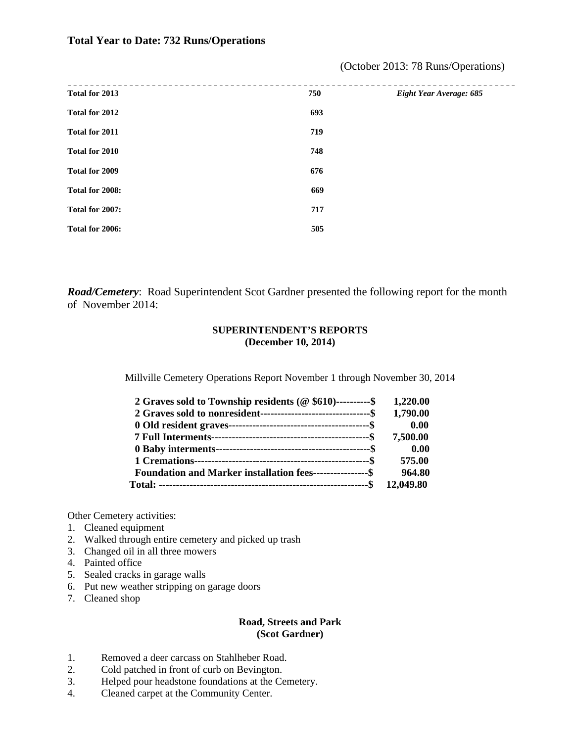#### **Total Year to Date: 732 Runs/Operations**

| Total for 2013  | 750 | Eight Year Average: 685 |
|-----------------|-----|-------------------------|
| Total for 2012  | 693 |                         |
| Total for 2011  | 719 |                         |
| Total for 2010  | 748 |                         |
| Total for 2009  | 676 |                         |
| Total for 2008: | 669 |                         |
| Total for 2007: | 717 |                         |
| Total for 2006: | 505 |                         |
|                 |     |                         |

(October 2013: 78 Runs/Operations)

*Road/Cemetery*: Road Superintendent Scot Gardner presented the following report for the month of November 2014:

#### **SUPERINTENDENT'S REPORTS (December 10, 2014)**

Millville Cemetery Operations Report November 1 through November 30, 2014

| 2 Graves sold to Township residents (@ \$610)----------\$        | 1,220.00  |
|------------------------------------------------------------------|-----------|
|                                                                  | 1,790.00  |
|                                                                  | 0.00      |
|                                                                  | 7,500.00  |
|                                                                  | 0.00      |
|                                                                  | 575.00    |
| <b>Foundation and Marker installation fees----------------\$</b> | 964.80    |
|                                                                  | 12,049.80 |

Other Cemetery activities:

- 1. Cleaned equipment
- 2. Walked through entire cemetery and picked up trash
- 3. Changed oil in all three mowers
- 4. Painted office
- 5. Sealed cracks in garage walls
- 6. Put new weather stripping on garage doors
- 7. Cleaned shop

#### **Road, Streets and Park (Scot Gardner)**

- 1. Removed a deer carcass on Stahlheber Road.
- 2. Cold patched in front of curb on Bevington.
- 3. Helped pour headstone foundations at the Cemetery.
- 4. Cleaned carpet at the Community Center.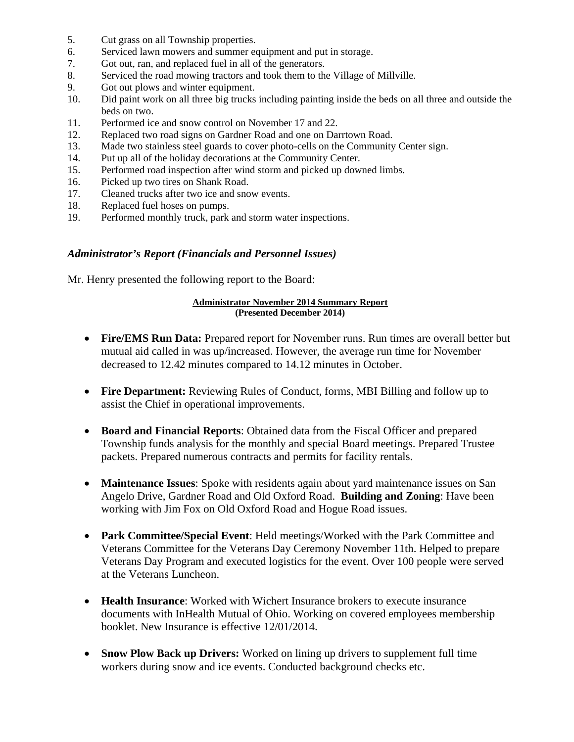- 5. Cut grass on all Township properties.
- 6. Serviced lawn mowers and summer equipment and put in storage.
- 7. Got out, ran, and replaced fuel in all of the generators.
- 8. Serviced the road mowing tractors and took them to the Village of Millville.
- 9. Got out plows and winter equipment.
- 10. Did paint work on all three big trucks including painting inside the beds on all three and outside the beds on two.
- 11. Performed ice and snow control on November 17 and 22.
- 12. Replaced two road signs on Gardner Road and one on Darrtown Road.
- 13. Made two stainless steel guards to cover photo-cells on the Community Center sign.
- 14. Put up all of the holiday decorations at the Community Center.
- 15. Performed road inspection after wind storm and picked up downed limbs.
- 16. Picked up two tires on Shank Road.
- 17. Cleaned trucks after two ice and snow events.
- 18. Replaced fuel hoses on pumps.
- 19. Performed monthly truck, park and storm water inspections.

#### *Administrator's Report (Financials and Personnel Issues)*

Mr. Henry presented the following report to the Board:

#### **Administrator November 2014 Summary Report (Presented December 2014)**

- **Fire/EMS Run Data:** Prepared report for November runs. Run times are overall better but mutual aid called in was up/increased. However, the average run time for November decreased to 12.42 minutes compared to 14.12 minutes in October.
- **Fire Department:** Reviewing Rules of Conduct, forms, MBI Billing and follow up to assist the Chief in operational improvements.
- **Board and Financial Reports**: Obtained data from the Fiscal Officer and prepared Township funds analysis for the monthly and special Board meetings. Prepared Trustee packets. Prepared numerous contracts and permits for facility rentals.
- **Maintenance Issues**: Spoke with residents again about yard maintenance issues on San Angelo Drive, Gardner Road and Old Oxford Road. **Building and Zoning**: Have been working with Jim Fox on Old Oxford Road and Hogue Road issues.
- **Park Committee/Special Event**: Held meetings/Worked with the Park Committee and Veterans Committee for the Veterans Day Ceremony November 11th. Helped to prepare Veterans Day Program and executed logistics for the event. Over 100 people were served at the Veterans Luncheon.
- **Health Insurance**: Worked with Wichert Insurance brokers to execute insurance documents with InHealth Mutual of Ohio. Working on covered employees membership booklet. New Insurance is effective 12/01/2014.
- Snow Plow Back up Drivers: Worked on lining up drivers to supplement full time workers during snow and ice events. Conducted background checks etc.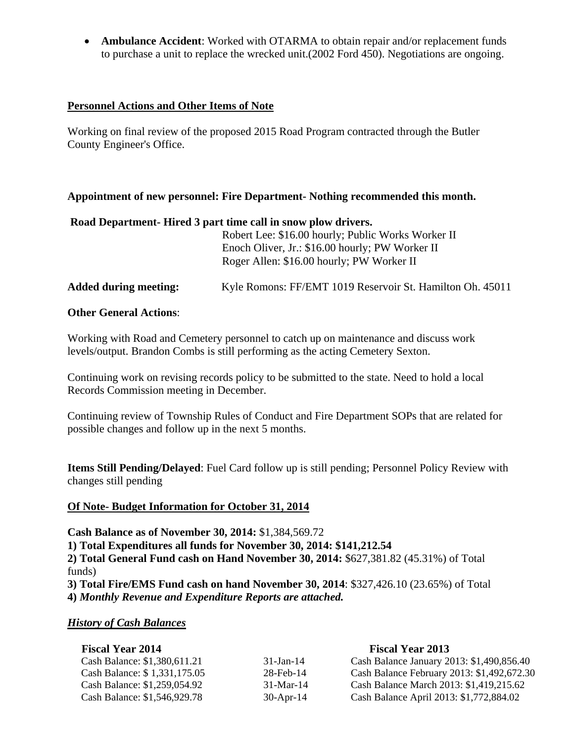**Ambulance Accident**: Worked with OTARMA to obtain repair and/or replacement funds to purchase a unit to replace the wrecked unit.(2002 Ford 450). Negotiations are ongoing.

#### **Personnel Actions and Other Items of Note**

Working on final review of the proposed 2015 Road Program contracted through the Butler County Engineer's Office.

#### **Appointment of new personnel: Fire Department- Nothing recommended this month.**

#### **Road Department- Hired 3 part time call in snow plow drivers.**

|                              | Robert Lee: \$16.00 hourly; Public Works Worker II<br>Enoch Oliver, Jr.: \$16.00 hourly; PW Worker II<br>Roger Allen: \$16.00 hourly; PW Worker II |
|------------------------------|----------------------------------------------------------------------------------------------------------------------------------------------------|
| <b>Added during meeting:</b> | Kyle Romons: FF/EMT 1019 Reservoir St. Hamilton Oh. 45011                                                                                          |

#### **Other General Actions**:

Working with Road and Cemetery personnel to catch up on maintenance and discuss work levels/output. Brandon Combs is still performing as the acting Cemetery Sexton.

Continuing work on revising records policy to be submitted to the state. Need to hold a local Records Commission meeting in December.

Continuing review of Township Rules of Conduct and Fire Department SOPs that are related for possible changes and follow up in the next 5 months.

**Items Still Pending/Delayed**: Fuel Card follow up is still pending; Personnel Policy Review with changes still pending

#### **Of Note- Budget Information for October 31, 2014**

**Cash Balance as of November 30, 2014:** \$1,384,569.72

**1) Total Expenditures all funds for November 30, 2014: \$141,212.54**

**2) Total General Fund cash on Hand November 30, 2014:** \$627,381.82 (45.31%) of Total funds)

**3) Total Fire/EMS Fund cash on hand November 30, 2014**: \$327,426.10 (23.65%) of Total **4)** *Monthly Revenue and Expenditure Reports are attached.* 

#### *History of Cash Balances*

| <b>Fiscal Year 2014</b>      |                 | <b>Fiscal Year 2013</b>                    |
|------------------------------|-----------------|--------------------------------------------|
| Cash Balance: \$1,380,611.21 | $31 - Jan - 14$ | Cash Balance January 2013: \$1,490,856.40  |
| Cash Balance: \$1,331,175.05 | $28$ -Feb-14    | Cash Balance February 2013: \$1,492,672.30 |
| Cash Balance: \$1,259,054.92 | $31-Mar-14$     | Cash Balance March 2013: \$1,419,215.62    |
| Cash Balance: \$1,546,929.78 | $30-Apr-14$     | Cash Balance April 2013: \$1,772,884.02    |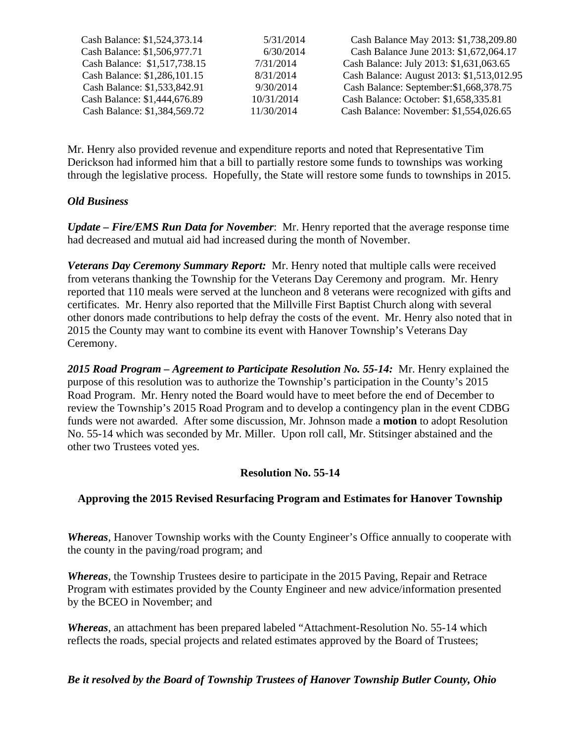| Cash Balance: \$1,524,373.14 | 5/31/2014  | Cash Balance May 2013: \$1,738,209.80     |
|------------------------------|------------|-------------------------------------------|
| Cash Balance: \$1,506,977.71 | 6/30/2014  | Cash Balance June 2013: \$1,672,064.17    |
| Cash Balance: \$1,517,738.15 | 7/31/2014  | Cash Balance: July 2013: \$1,631,063.65   |
| Cash Balance: \$1,286,101.15 | 8/31/2014  | Cash Balance: August 2013: \$1,513,012.95 |
| Cash Balance: \$1,533,842.91 | 9/30/2014  | Cash Balance: September: \$1,668,378.75   |
| Cash Balance: \$1,444,676.89 | 10/31/2014 | Cash Balance: October: \$1,658,335.81     |
| Cash Balance: \$1,384,569.72 | 11/30/2014 | Cash Balance: November: \$1,554,026.65    |

Mr. Henry also provided revenue and expenditure reports and noted that Representative Tim Derickson had informed him that a bill to partially restore some funds to townships was working through the legislative process. Hopefully, the State will restore some funds to townships in 2015.

#### *Old Business*

*Update – Fire/EMS Run Data for November*: Mr. Henry reported that the average response time had decreased and mutual aid had increased during the month of November.

*Veterans Day Ceremony Summary Report:* Mr. Henry noted that multiple calls were received from veterans thanking the Township for the Veterans Day Ceremony and program. Mr. Henry reported that 110 meals were served at the luncheon and 8 veterans were recognized with gifts and certificates. Mr. Henry also reported that the Millville First Baptist Church along with several other donors made contributions to help defray the costs of the event. Mr. Henry also noted that in 2015 the County may want to combine its event with Hanover Township's Veterans Day Ceremony.

*2015 Road Program – Agreement to Participate Resolution No. 55-14:* Mr. Henry explained the purpose of this resolution was to authorize the Township's participation in the County's 2015 Road Program. Mr. Henry noted the Board would have to meet before the end of December to review the Township's 2015 Road Program and to develop a contingency plan in the event CDBG funds were not awarded. After some discussion, Mr. Johnson made a **motion** to adopt Resolution No. 55-14 which was seconded by Mr. Miller. Upon roll call, Mr. Stitsinger abstained and the other two Trustees voted yes.

## **Resolution No. 55-14**

## **Approving the 2015 Revised Resurfacing Program and Estimates for Hanover Township**

*Whereas*, Hanover Township works with the County Engineer's Office annually to cooperate with the county in the paving/road program; and

*Whereas*, the Township Trustees desire to participate in the 2015 Paving, Repair and Retrace Program with estimates provided by the County Engineer and new advice/information presented by the BCEO in November; and

*Whereas*, an attachment has been prepared labeled "Attachment-Resolution No. 55-14 which reflects the roads, special projects and related estimates approved by the Board of Trustees;

#### *Be it resolved by the Board of Township Trustees of Hanover Township Butler County, Ohio*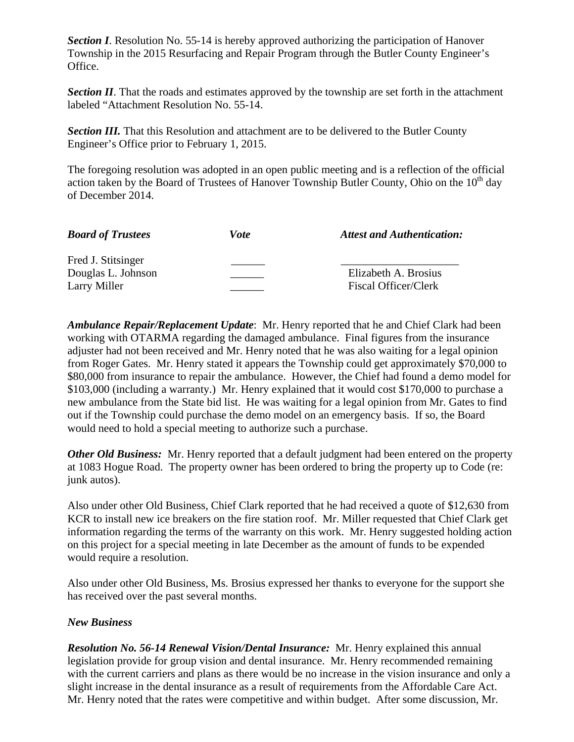**Section I**. Resolution No. 55-14 is hereby approved authorizing the participation of Hanover Township in the 2015 Resurfacing and Repair Program through the Butler County Engineer's Office.

*Section II*. That the roads and estimates approved by the township are set forth in the attachment labeled "Attachment Resolution No. 55-14.

**Section III.** That this Resolution and attachment are to be delivered to the Butler County Engineer's Office prior to February 1, 2015.

The foregoing resolution was adopted in an open public meeting and is a reflection of the official action taken by the Board of Trustees of Hanover Township Butler County, Ohio on the  $10<sup>th</sup>$  day of December 2014.

| <b>Board of Trustees</b> | Vote | <b>Attest and Authentication:</b> |
|--------------------------|------|-----------------------------------|
| Fred J. Stitsinger       |      |                                   |
| Douglas L. Johnson       |      | Elizabeth A. Brosius              |
| Larry Miller             |      | Fiscal Officer/Clerk              |

*Ambulance Repair/Replacement Update*: Mr. Henry reported that he and Chief Clark had been working with OTARMA regarding the damaged ambulance. Final figures from the insurance adjuster had not been received and Mr. Henry noted that he was also waiting for a legal opinion from Roger Gates. Mr. Henry stated it appears the Township could get approximately \$70,000 to \$80,000 from insurance to repair the ambulance. However, the Chief had found a demo model for \$103,000 (including a warranty.) Mr. Henry explained that it would cost \$170,000 to purchase a new ambulance from the State bid list. He was waiting for a legal opinion from Mr. Gates to find out if the Township could purchase the demo model on an emergency basis. If so, the Board would need to hold a special meeting to authorize such a purchase.

*Other Old Business:* Mr. Henry reported that a default judgment had been entered on the property at 1083 Hogue Road. The property owner has been ordered to bring the property up to Code (re: junk autos).

Also under other Old Business, Chief Clark reported that he had received a quote of \$12,630 from KCR to install new ice breakers on the fire station roof. Mr. Miller requested that Chief Clark get information regarding the terms of the warranty on this work. Mr. Henry suggested holding action on this project for a special meeting in late December as the amount of funds to be expended would require a resolution.

Also under other Old Business, Ms. Brosius expressed her thanks to everyone for the support she has received over the past several months.

## *New Business*

*Resolution No. 56-14 Renewal Vision/Dental Insurance:* Mr. Henry explained this annual legislation provide for group vision and dental insurance. Mr. Henry recommended remaining with the current carriers and plans as there would be no increase in the vision insurance and only a slight increase in the dental insurance as a result of requirements from the Affordable Care Act. Mr. Henry noted that the rates were competitive and within budget. After some discussion, Mr.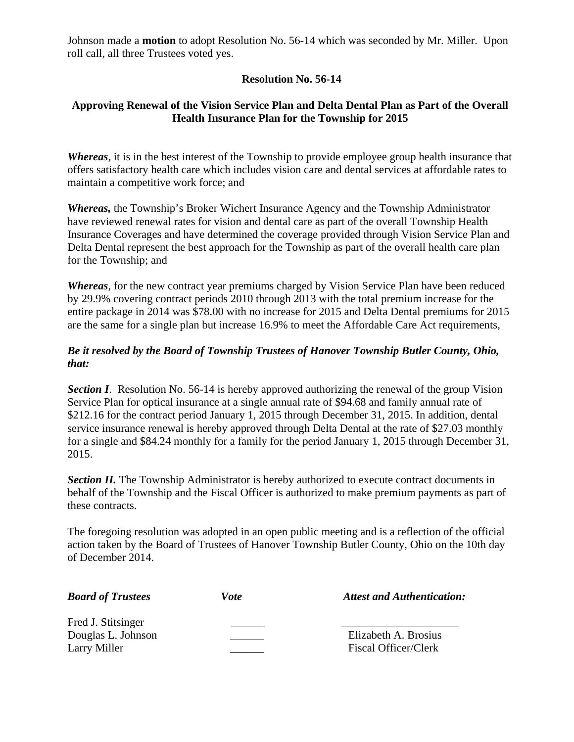Johnson made a **motion** to adopt Resolution No. 56-14 which was seconded by Mr. Miller. Upon roll call, all three Trustees voted yes.

## **Resolution No. 56-14**

## **Approving Renewal of the Vision Service Plan and Delta Dental Plan as Part of the Overall Health Insurance Plan for the Township for 2015**

*Whereas*, it is in the best interest of the Township to provide employee group health insurance that offers satisfactory health care which includes vision care and dental services at affordable rates to maintain a competitive work force; and

*Whereas,* the Township's Broker Wichert Insurance Agency and the Township Administrator have reviewed renewal rates for vision and dental care as part of the overall Township Health Insurance Coverages and have determined the coverage provided through Vision Service Plan and Delta Dental represent the best approach for the Township as part of the overall health care plan for the Township; and

*Whereas*, for the new contract year premiums charged by Vision Service Plan have been reduced by 29.9% covering contract periods 2010 through 2013 with the total premium increase for the entire package in 2014 was \$78.00 with no increase for 2015 and Delta Dental premiums for 2015 are the same for a single plan but increase 16.9% to meet the Affordable Care Act requirements,

## *Be it resolved by the Board of Township Trustees of Hanover Township Butler County, Ohio, that:*

**Section I.** Resolution No. 56-14 is hereby approved authorizing the renewal of the group Vision Service Plan for optical insurance at a single annual rate of \$94.68 and family annual rate of \$212.16 for the contract period January 1, 2015 through December 31, 2015. In addition, dental service insurance renewal is hereby approved through Delta Dental at the rate of \$27.03 monthly for a single and \$84.24 monthly for a family for the period January 1, 2015 through December 31, 2015.

**Section II.** The Township Administrator is hereby authorized to execute contract documents in behalf of the Township and the Fiscal Officer is authorized to make premium payments as part of these contracts.

The foregoing resolution was adopted in an open public meeting and is a reflection of the official action taken by the Board of Trustees of Hanover Township Butler County, Ohio on the 10th day of December 2014.

| <b>Board of Trustees</b> | Vote | <b>Attest and Authentication:</b> |
|--------------------------|------|-----------------------------------|
| Fred J. Stitsinger       |      |                                   |
| Douglas L. Johnson       |      | Elizabeth A. Brosius              |
| Larry Miller             |      | <b>Fiscal Officer/Clerk</b>       |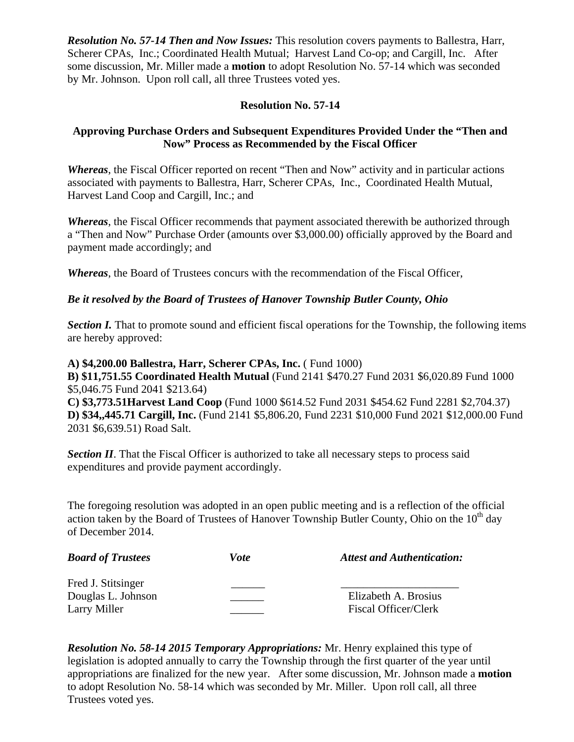*Resolution No. 57-14 Then and Now Issues:* This resolution covers payments to Ballestra, Harr, Scherer CPAs, Inc.; Coordinated Health Mutual; Harvest Land Co-op; and Cargill, Inc. After some discussion, Mr. Miller made a **motion** to adopt Resolution No. 57-14 which was seconded by Mr. Johnson. Upon roll call, all three Trustees voted yes.

## **Resolution No. 57-14**

## **Approving Purchase Orders and Subsequent Expenditures Provided Under the "Then and Now" Process as Recommended by the Fiscal Officer**

*Whereas*, the Fiscal Officer reported on recent "Then and Now" activity and in particular actions associated with payments to Ballestra, Harr, Scherer CPAs, Inc., Coordinated Health Mutual, Harvest Land Coop and Cargill, Inc.; and

*Whereas*, the Fiscal Officer recommends that payment associated therewith be authorized through a "Then and Now" Purchase Order (amounts over \$3,000.00) officially approved by the Board and payment made accordingly; and

*Whereas*, the Board of Trustees concurs with the recommendation of the Fiscal Officer,

#### *Be it resolved by the Board of Trustees of Hanover Township Butler County, Ohio*

*Section I.* That to promote sound and efficient fiscal operations for the Township, the following items are hereby approved:

**A) \$4,200.00 Ballestra, Harr, Scherer CPAs, Inc.** ( Fund 1000) **B) \$11,751.55 Coordinated Health Mutual** (Fund 2141 \$470.27 Fund 2031 \$6,020.89 Fund 1000 \$5,046.75 Fund 2041 \$213.64)

**C) \$3,773.51Harvest Land Coop** (Fund 1000 \$614.52 Fund 2031 \$454.62 Fund 2281 \$2,704.37) **D) \$34,,445.71 Cargill, Inc.** (Fund 2141 \$5,806.20, Fund 2231 \$10,000 Fund 2021 \$12,000.00 Fund 2031 \$6,639.51) Road Salt.

**Section II**. That the Fiscal Officer is authorized to take all necessary steps to process said expenditures and provide payment accordingly.

The foregoing resolution was adopted in an open public meeting and is a reflection of the official action taken by the Board of Trustees of Hanover Township Butler County, Ohio on the  $10<sup>th</sup>$  day of December 2014.

| <b>Board of Trustees</b>                 | Vote | <b>Attest and Authentication:</b> |
|------------------------------------------|------|-----------------------------------|
| Fred J. Stitsinger<br>Douglas L. Johnson |      | Elizabeth A. Brosius              |
| Larry Miller                             |      | Fiscal Officer/Clerk              |

*Resolution No. 58-14 2015 Temporary Appropriations:* Mr. Henry explained this type of legislation is adopted annually to carry the Township through the first quarter of the year until appropriations are finalized for the new year. After some discussion, Mr. Johnson made a **motion** to adopt Resolution No. 58-14 which was seconded by Mr. Miller. Upon roll call, all three Trustees voted yes.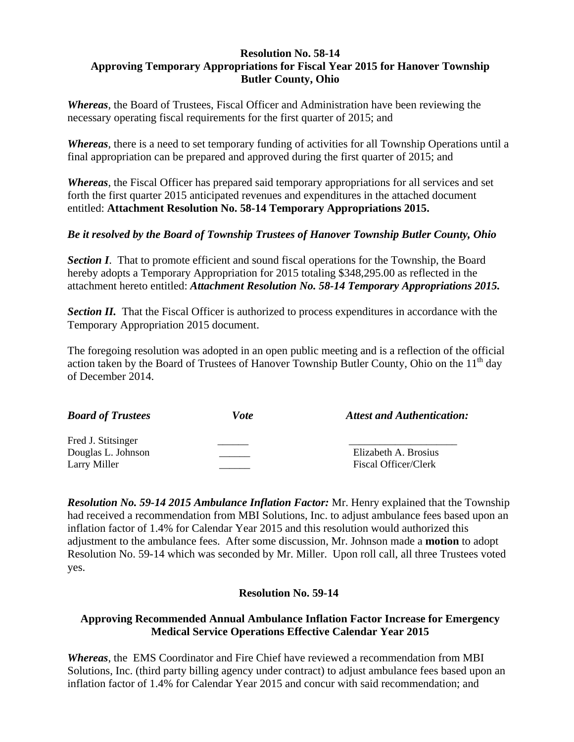#### **Resolution No. 58-14 Approving Temporary Appropriations for Fiscal Year 2015 for Hanover Township Butler County, Ohio**

*Whereas*, the Board of Trustees, Fiscal Officer and Administration have been reviewing the necessary operating fiscal requirements for the first quarter of 2015; and

*Whereas*, there is a need to set temporary funding of activities for all Township Operations until a final appropriation can be prepared and approved during the first quarter of 2015; and

*Whereas*, the Fiscal Officer has prepared said temporary appropriations for all services and set forth the first quarter 2015 anticipated revenues and expenditures in the attached document entitled: **Attachment Resolution No. 58-14 Temporary Appropriations 2015.** 

## *Be it resolved by the Board of Township Trustees of Hanover Township Butler County, Ohio*

**Section I**. That to promote efficient and sound fiscal operations for the Township, the Board hereby adopts a Temporary Appropriation for 2015 totaling \$348,295.00 as reflected in the attachment hereto entitled: *Attachment Resolution No. 58-14 Temporary Appropriations 2015.* 

**Section II.** That the Fiscal Officer is authorized to process expenditures in accordance with the Temporary Appropriation 2015 document.

The foregoing resolution was adopted in an open public meeting and is a reflection of the official action taken by the Board of Trustees of Hanover Township Butler County, Ohio on the  $11<sup>th</sup>$  day of December 2014.

| <b>Board of Trustees</b>                                 | Vote | <b>Attest and Authentication:</b>            |
|----------------------------------------------------------|------|----------------------------------------------|
| Fred J. Stitsinger<br>Douglas L. Johnson<br>Larry Miller |      | Elizabeth A. Brosius<br>Fiscal Officer/Clerk |

*Resolution No. 59-14 2015 Ambulance Inflation Factor:* Mr. Henry explained that the Township had received a recommendation from MBI Solutions, Inc. to adjust ambulance fees based upon an inflation factor of 1.4% for Calendar Year 2015 and this resolution would authorized this adjustment to the ambulance fees. After some discussion, Mr. Johnson made a **motion** to adopt Resolution No. 59-14 which was seconded by Mr. Miller. Upon roll call, all three Trustees voted yes.

## **Resolution No. 59-14**

## **Approving Recommended Annual Ambulance Inflation Factor Increase for Emergency Medical Service Operations Effective Calendar Year 2015**

*Whereas*, the EMS Coordinator and Fire Chief have reviewed a recommendation from MBI Solutions, Inc. (third party billing agency under contract) to adjust ambulance fees based upon an inflation factor of 1.4% for Calendar Year 2015 and concur with said recommendation; and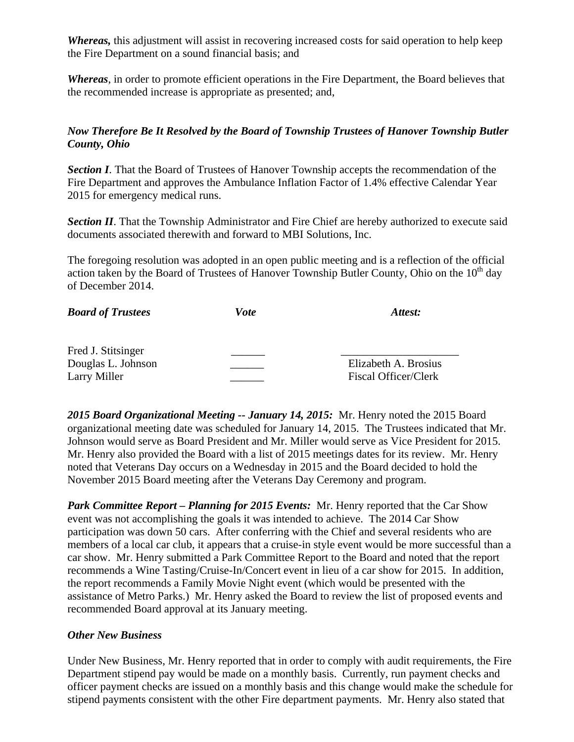*Whereas,* this adjustment will assist in recovering increased costs for said operation to help keep the Fire Department on a sound financial basis; and

*Whereas*, in order to promote efficient operations in the Fire Department, the Board believes that the recommended increase is appropriate as presented; and,

## *Now Therefore Be It Resolved by the Board of Township Trustees of Hanover Township Butler County, Ohio*

**Section I**. That the Board of Trustees of Hanover Township accepts the recommendation of the Fire Department and approves the Ambulance Inflation Factor of 1.4% effective Calendar Year 2015 for emergency medical runs.

**Section II**. That the Township Administrator and Fire Chief are hereby authorized to execute said documents associated therewith and forward to MBI Solutions, Inc.

The foregoing resolution was adopted in an open public meeting and is a reflection of the official action taken by the Board of Trustees of Hanover Township Butler County, Ohio on the  $10<sup>th</sup>$  day of December 2014.

| <b>Board of Trustees</b> | Vote | Attest:              |  |
|--------------------------|------|----------------------|--|
| Fred J. Stitsinger       |      |                      |  |
| Douglas L. Johnson       |      | Elizabeth A. Brosius |  |
| Larry Miller             |      | Fiscal Officer/Clerk |  |

*2015 Board Organizational Meeting -- January 14, 2015:* Mr. Henry noted the 2015 Board organizational meeting date was scheduled for January 14, 2015. The Trustees indicated that Mr. Johnson would serve as Board President and Mr. Miller would serve as Vice President for 2015. Mr. Henry also provided the Board with a list of 2015 meetings dates for its review. Mr. Henry noted that Veterans Day occurs on a Wednesday in 2015 and the Board decided to hold the November 2015 Board meeting after the Veterans Day Ceremony and program.

*Park Committee Report – Planning for 2015 Events:* Mr. Henry reported that the Car Show event was not accomplishing the goals it was intended to achieve. The 2014 Car Show participation was down 50 cars. After conferring with the Chief and several residents who are members of a local car club, it appears that a cruise-in style event would be more successful than a car show. Mr. Henry submitted a Park Committee Report to the Board and noted that the report recommends a Wine Tasting/Cruise-In/Concert event in lieu of a car show for 2015. In addition, the report recommends a Family Movie Night event (which would be presented with the assistance of Metro Parks.) Mr. Henry asked the Board to review the list of proposed events and recommended Board approval at its January meeting.

## *Other New Business*

Under New Business, Mr. Henry reported that in order to comply with audit requirements, the Fire Department stipend pay would be made on a monthly basis. Currently, run payment checks and officer payment checks are issued on a monthly basis and this change would make the schedule for stipend payments consistent with the other Fire department payments. Mr. Henry also stated that